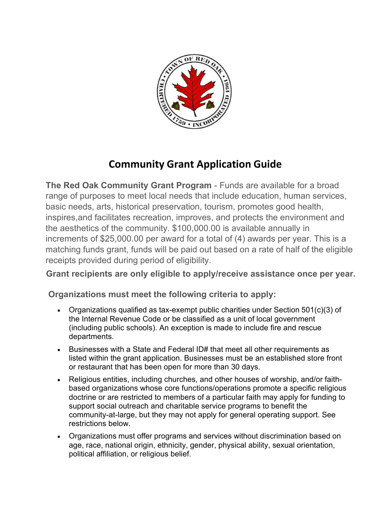

# **Community Grant Application Guide**

**The Red Oak Community Grant Program** - Funds are available for a broad range of purposes to meet local needs that include education, human services, basic needs, arts, historical preservation, tourism, promotes good health, inspires,and facilitates recreation, improves, and protects the environment and the aesthetics of the community. \$100,000.00 is available annually in increments of \$25,000.00 per award for a total of (4) awards per year. This is a matching funds grant, funds will be paid out based on a rate of half of the eligible receipts provided during period of eligibility.

**Grant recipients are only eligible to apply/receive assistance once per year.**

**Organizations must meet the following criteria to apply:**

- Organizations qualified as tax-exempt public charities under Section 501(c)(3) of the Internal Revenue Code or be classified as a unit of local government (including public schools). An exception is made to include fire and rescue departments.
- Businesses with a State and Federal ID# that meet all other requirements as listed within the grant application. Businesses must be an established store front or restaurant that has been open for more than 30 days.
- Religious entities, including churches, and other houses of worship, and/or faithbased organizations whose core functions/operations promote a specific religious doctrine or are restricted to members of a particular faith may apply for funding to support social outreach and charitable service programs to benefit the community-at-large, but they may not apply for general operating support. See restrictions below.
- Organizations must offer programs and services without discrimination based on age, race, national origin, ethnicity, gender, physical ability, sexual orientation, political affiliation, or religious belief.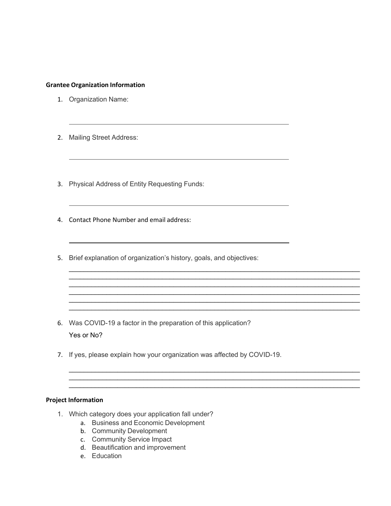### **Grantee Organization Information**

- 1. Organization Name:
- 2. Mailing Street Address:
- 3. Physical Address of Entity Requesting Funds:
- 4. Contact Phone Number and email address:
- 5. Brief explanation of organization's history, goals, and objectives:

 $\mathcal{L}_\mathcal{L} = \{ \mathcal{L}_\mathcal{L} = \{ \mathcal{L}_\mathcal{L} = \{ \mathcal{L}_\mathcal{L} = \{ \mathcal{L}_\mathcal{L} = \{ \mathcal{L}_\mathcal{L} = \{ \mathcal{L}_\mathcal{L} = \{ \mathcal{L}_\mathcal{L} = \{ \mathcal{L}_\mathcal{L} = \{ \mathcal{L}_\mathcal{L} = \{ \mathcal{L}_\mathcal{L} = \{ \mathcal{L}_\mathcal{L} = \{ \mathcal{L}_\mathcal{L} = \{ \mathcal{L}_\mathcal{L} = \{ \mathcal{L}_\mathcal{$  $\mathcal{L}_\mathcal{L} = \{ \mathcal{L}_\mathcal{L} = \{ \mathcal{L}_\mathcal{L} = \{ \mathcal{L}_\mathcal{L} = \{ \mathcal{L}_\mathcal{L} = \{ \mathcal{L}_\mathcal{L} = \{ \mathcal{L}_\mathcal{L} = \{ \mathcal{L}_\mathcal{L} = \{ \mathcal{L}_\mathcal{L} = \{ \mathcal{L}_\mathcal{L} = \{ \mathcal{L}_\mathcal{L} = \{ \mathcal{L}_\mathcal{L} = \{ \mathcal{L}_\mathcal{L} = \{ \mathcal{L}_\mathcal{L} = \{ \mathcal{L}_\mathcal{$  $\mathcal{L}_\mathcal{L} = \{ \mathcal{L}_\mathcal{L} = \{ \mathcal{L}_\mathcal{L} = \{ \mathcal{L}_\mathcal{L} = \{ \mathcal{L}_\mathcal{L} = \{ \mathcal{L}_\mathcal{L} = \{ \mathcal{L}_\mathcal{L} = \{ \mathcal{L}_\mathcal{L} = \{ \mathcal{L}_\mathcal{L} = \{ \mathcal{L}_\mathcal{L} = \{ \mathcal{L}_\mathcal{L} = \{ \mathcal{L}_\mathcal{L} = \{ \mathcal{L}_\mathcal{L} = \{ \mathcal{L}_\mathcal{L} = \{ \mathcal{L}_\mathcal{$ 

 $\mathcal{L}_\mathcal{L} = \{ \mathcal{L}_\mathcal{L} = \{ \mathcal{L}_\mathcal{L} = \{ \mathcal{L}_\mathcal{L} = \{ \mathcal{L}_\mathcal{L} = \{ \mathcal{L}_\mathcal{L} = \{ \mathcal{L}_\mathcal{L} = \{ \mathcal{L}_\mathcal{L} = \{ \mathcal{L}_\mathcal{L} = \{ \mathcal{L}_\mathcal{L} = \{ \mathcal{L}_\mathcal{L} = \{ \mathcal{L}_\mathcal{L} = \{ \mathcal{L}_\mathcal{L} = \{ \mathcal{L}_\mathcal{L} = \{ \mathcal{L}_\mathcal{$ 

\_\_\_\_\_\_\_\_\_\_\_\_\_\_\_\_\_\_\_\_\_\_\_\_\_\_\_\_\_\_\_\_\_\_\_\_\_\_\_\_\_\_\_\_\_\_\_\_\_\_\_\_\_\_\_\_\_\_\_\_\_\_\_\_\_\_\_\_\_\_\_\_\_\_\_\_\_\_  $\mathcal{L}_\mathcal{L} = \{ \mathcal{L}_\mathcal{L} = \{ \mathcal{L}_\mathcal{L} = \{ \mathcal{L}_\mathcal{L} = \{ \mathcal{L}_\mathcal{L} = \{ \mathcal{L}_\mathcal{L} = \{ \mathcal{L}_\mathcal{L} = \{ \mathcal{L}_\mathcal{L} = \{ \mathcal{L}_\mathcal{L} = \{ \mathcal{L}_\mathcal{L} = \{ \mathcal{L}_\mathcal{L} = \{ \mathcal{L}_\mathcal{L} = \{ \mathcal{L}_\mathcal{L} = \{ \mathcal{L}_\mathcal{L} = \{ \mathcal{L}_\mathcal{$  $\mathcal{L}_\mathcal{L} = \{ \mathcal{L}_\mathcal{L} = \{ \mathcal{L}_\mathcal{L} = \{ \mathcal{L}_\mathcal{L} = \{ \mathcal{L}_\mathcal{L} = \{ \mathcal{L}_\mathcal{L} = \{ \mathcal{L}_\mathcal{L} = \{ \mathcal{L}_\mathcal{L} = \{ \mathcal{L}_\mathcal{L} = \{ \mathcal{L}_\mathcal{L} = \{ \mathcal{L}_\mathcal{L} = \{ \mathcal{L}_\mathcal{L} = \{ \mathcal{L}_\mathcal{L} = \{ \mathcal{L}_\mathcal{L} = \{ \mathcal{L}_\mathcal{$ 

- 6. Was COVID-19 a factor in the preparation of this application? Yes or No?
- 7. If yes, please explain how your organization was affected by COVID-19.

## **Project Information**

- 1. Which category does your application fall under?
	- a. Business and Economic Development
	- b. Community Development
	- c. Community Service Impact
	- d. Beautification and improvement
	- e. Education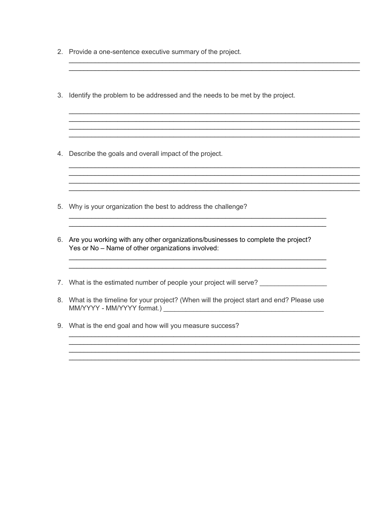- 2. Provide a one-sentence executive summary of the project.
- 3. Identify the problem to be addressed and the needs to be met by the project.
- 4. Describe the goals and overall impact of the project.
- 5. Why is your organization the best to address the challenge?
- 6. Are you working with any other organizations/businesses to complete the project? Yes or No - Name of other organizations involved:

- 7. What is the estimated number of people your project will serve?
- 8. What is the timeline for your project? (When will the project start and end? Please use
- 9. What is the end goal and how will you measure success?